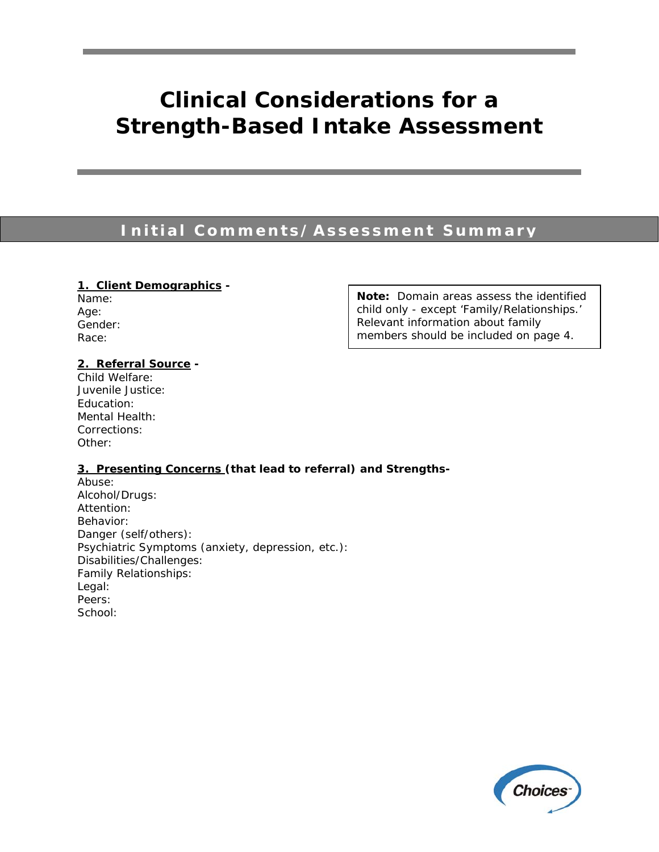# **Clinical Considerations for a Strength-Based Intake Assessment**

### **Initial Comments/Assessment Summary**

Name: Age: Gender: Race:

**1. Client Demographics -** Note: Domain areas assess the identified child only - except 'Family/Relationships.' Relevant information about family members should be included on page 4.

### **2. Referral Source -**

Child Welfare: Juvenile Justice: Education: Mental Health: Corrections: Other:

### **3. Presenting Concerns (that lead to referral) and Strengths-**

Abuse: Alcohol/Drugs: Attention: Behavior: Danger (self/others): Psychiatric Symptoms (anxiety, depression, etc.): Disabilities/Challenges: Family Relationships: Legal: Peers: School:

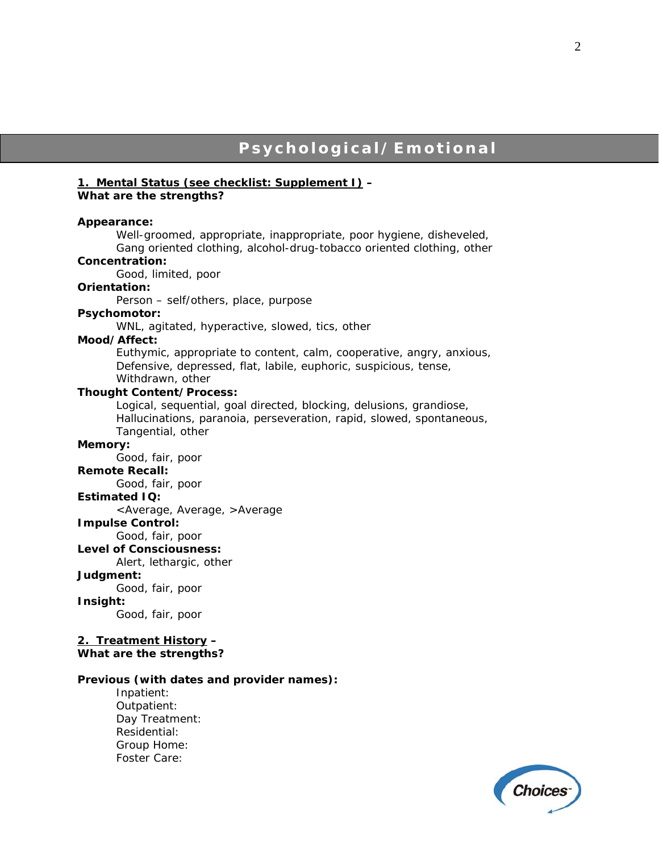### **Psychological/Emotional**

### **1. Mental Status (see checklist: Supplement I) –**

### *What are the strengths?*

#### **Appearance:**

Well-groomed, appropriate, inappropriate, poor hygiene, disheveled, Gang oriented clothing, alcohol-drug-tobacco oriented clothing, other

### **Concentration:**

Good, limited, poor

### **Orientation:**

Person – self/others, place, purpose

#### **Psychomotor:**

WNL, agitated, hyperactive, slowed, tics, other

### **Mood/Affect:**

Euthymic, appropriate to content, calm, cooperative, angry, anxious, Defensive, depressed, flat, labile, euphoric, suspicious, tense, Withdrawn, other

#### **Thought Content/Process:**

Logical, sequential, goal directed, blocking, delusions, grandiose, Hallucinations, paranoia, perseveration, rapid, slowed, spontaneous, Tangential, other

### **Memory:**

Good, fair, poor

### **Remote Recall:**

Good, fair, poor

### **Estimated IQ:**

<Average, Average, >Average

### **Impulse Control:**

Good, fair, poor

**Level of Consciousness:** 

Alert, lethargic, other

### **Judgment:**

Good, fair, poor

### **Insight:**

Good, fair, poor

#### **2. Treatment History –**  *What are the strengths?*

#### **Previous (with dates and provider names):**

 Inpatient: Outpatient: Day Treatment: Residential: Group Home: Foster Care:

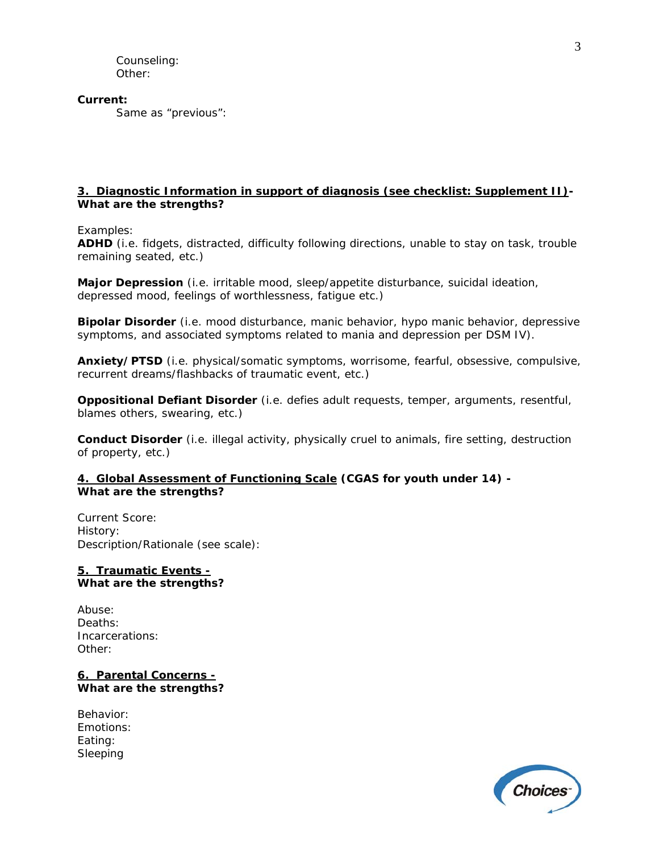Counseling: Other:

**Current:** 

Same as "previous":

### **3. Diagnostic Information in support of diagnosis (see checklist: Supplement II)-**  *What are the strengths?*

### *Examples:*

**ADHD** (i.e. fidgets, distracted, difficulty following directions, unable to stay on task, trouble remaining seated, etc.)

**Major Depression** (i.e. irritable mood, sleep/appetite disturbance, suicidal ideation, depressed mood, feelings of worthlessness, fatigue etc.)

**Bipolar Disorder** (i.e. mood disturbance, manic behavior, hypo manic behavior, depressive symptoms, and associated symptoms related to mania and depression per DSM IV).

**Anxiety/PTSD** (i.e. physical/somatic symptoms, worrisome, fearful, obsessive, compulsive, recurrent dreams/flashbacks of traumatic event, etc.)

**Oppositional Defiant Disorder** (i.e. defies adult requests, temper, arguments, resentful, blames others, swearing, etc.)

**Conduct Disorder** (i.e. illegal activity, physically cruel to animals, fire setting, destruction of property, etc.)

### **4. Global Assessment of Functioning Scale (CGAS for youth under 14) -**  *What are the strengths?*

Current Score: History: Description/Rationale (see scale):

### **5. Traumatic Events -** *What are the strengths?*

Abuse: Deaths: Incarcerations: Other:

**6. Parental Concerns -** *What are the strengths?* 

Behavior: Emotions: Eating: Sleeping

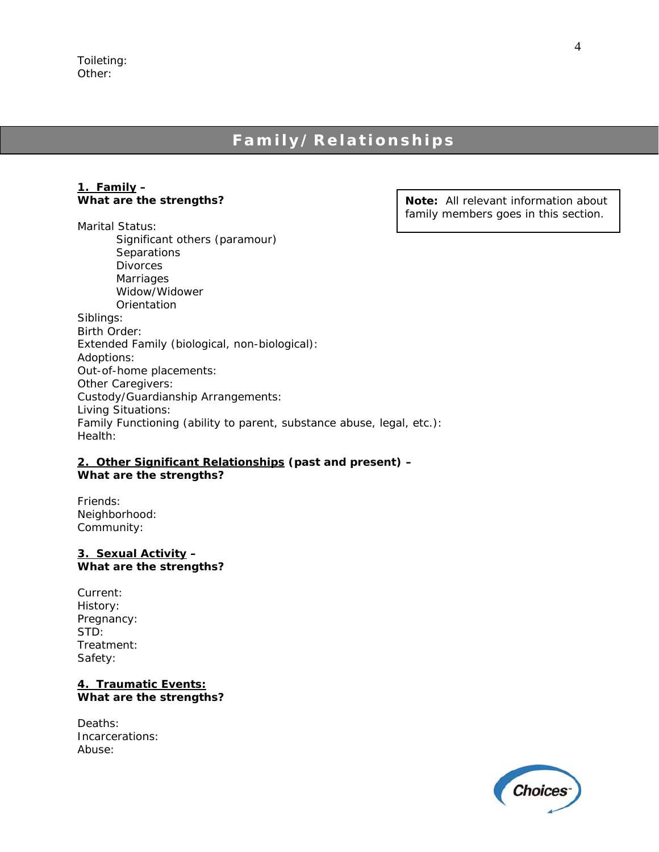### Toileting: Other:

### **Family/Relationships**

### **1. Family –**  *What are the strengths?*

Marital Status: Significant others (paramour) **Separations**  Divorces Marriages Widow/Widower **Orientation** Siblings: Birth Order: Extended Family (biological, non-biological): Adoptions: Out-of-home placements: Other Caregivers: Custody/Guardianship Arrangements: Living Situations: Family Functioning (ability to parent, substance abuse, legal, etc.): Health:

### **2. Other Significant Relationships (past and present) –**  *What are the strengths?*

Friends: Neighborhood: Community:

### **3. Sexual Activity –**  *What are the strengths?*

Current: History: Pregnancy: STD: Treatment: Safety:

### **4. Traumatic Events:** *What are the strengths?*

Deaths: Incarcerations: Abuse:

**Note:** All relevant information about family members goes in this section.

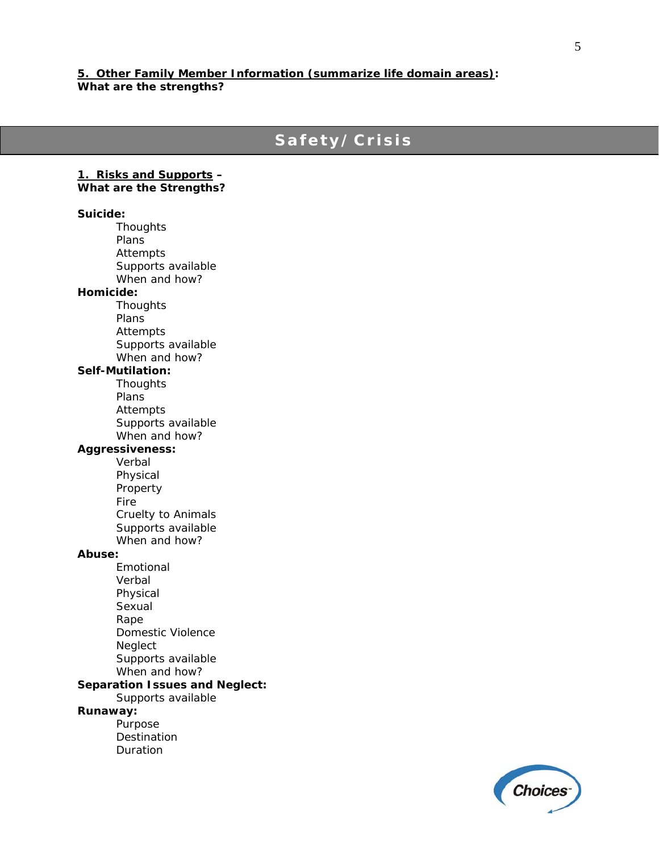### **5. Other Family Member Information (summarize life domain areas): What are the strengths?**

### **Safety/Crisis**

**1. Risks and Supports –**  *What are the Strengths?* 

**Suicide: Thoughts**  Plans Attempts Supports available When and how? **Homicide: Thoughts**  Plans Attempts Supports available When and how? **Self-Mutilation: Thoughts**  Plans Attempts Supports available When and how? **Aggressiveness:**  Verbal Physical Property Fire Cruelty to Animals Supports available When and how? **Abuse:**  Emotional Verbal Physical Sexual Rape Domestic Violence

Neglect

Purpose **Destination** Duration

**Runaway:** 

 Supports available When and how? **Separation Issues and Neglect:**  Supports available

**Choices**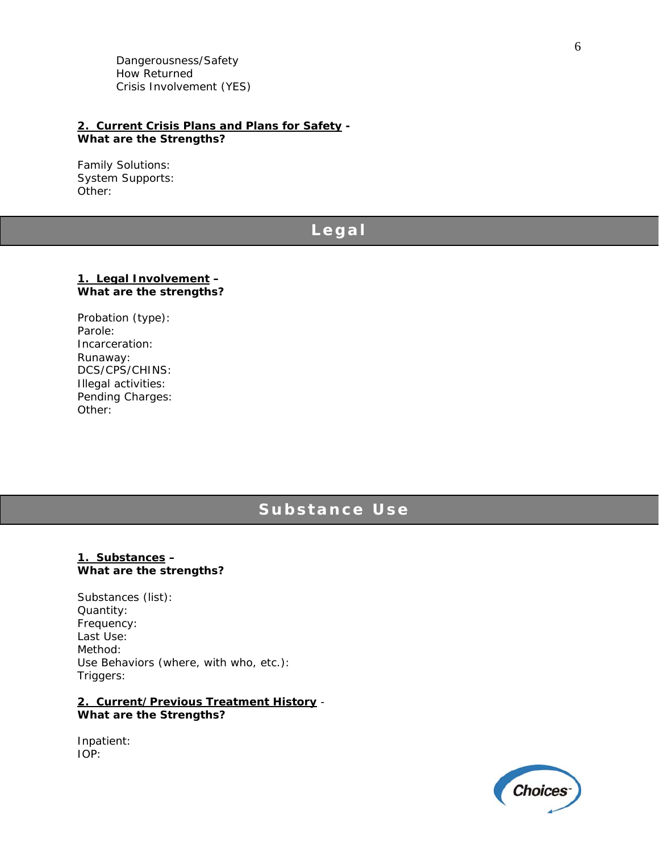Dangerousness/Safety How Returned Crisis Involvement (YES)

### **2. Current Crisis Plans and Plans for Safety -**  *What are the Strengths?*

Family Solutions: System Supports: Other:

### **L egal**

### **1. Legal Involvement –**  *What are the strengths?*

Probation (type): Parole: Incarceration: Runaway: DCS/CPS/CHINS: Illegal activities: Pending Charges: Other:

### **Substance Use**

### **1. Substances –**  *What are the strengths?*

Substances (list): Quantity: Frequency: Last Use: Method: Use Behaviors (where, with who, etc.): Triggers:

### **2. Current/Previous Treatment History** - *What are the Strengths?*

Inpatient: IOP:

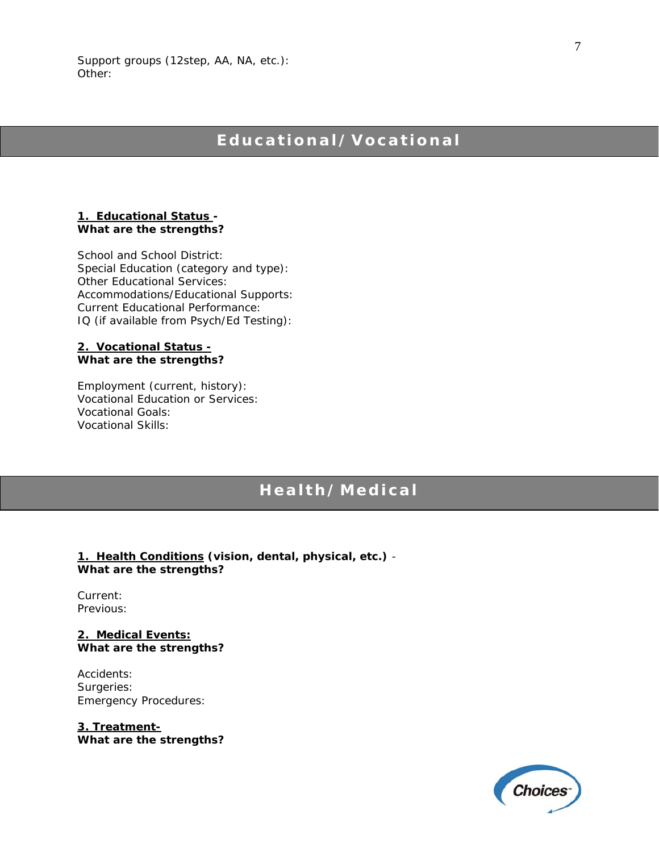Support groups (12step, AA, NA, etc.): Other:

### **Educational/Vocational**

### **1. Educational Status -**  *What are the strengths?*

School and School District: Special Education (category and type): Other Educational Services: Accommodations/Educational Supports: Current Educational Performance: IQ (if available from Psych/Ed Testing):

### **2. Vocational Status -** *What are the strengths?*

Employment (current, history): Vocational Education or Services: Vocational Goals: Vocational Skills:

### **Health/Medical**

**1. Health Conditions (vision, dental, physical, etc.)** - *What are the strengths?* 

Current: Previous:

**2. Medical Events:** *What are the strengths?* 

Accidents: Surgeries: Emergency Procedures:

**3. Treatment-***What are the strengths?* 

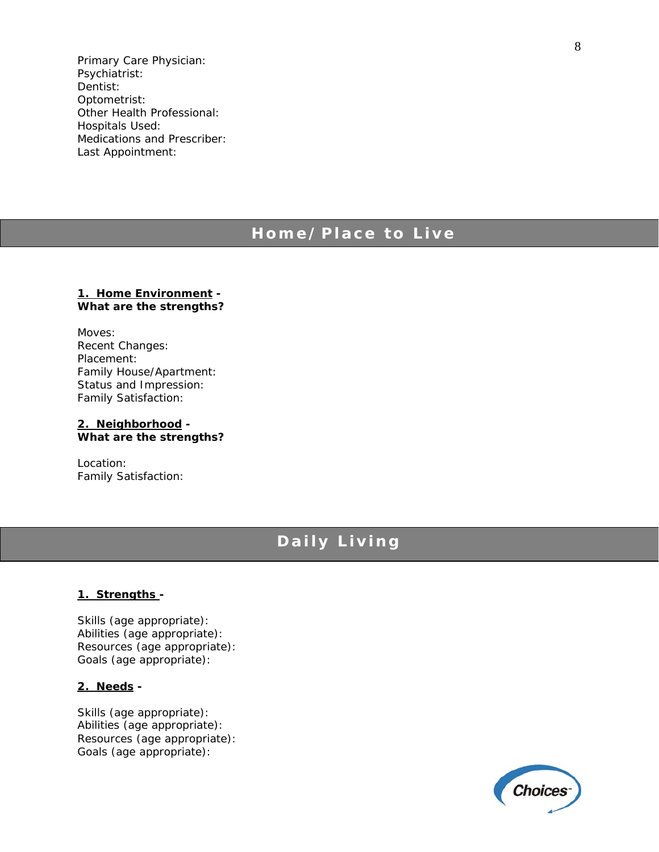Primary Care Physician: Psychiatrist: Dentist: Optometrist: Other Health Professional: Hospitals Used: Medications and Prescriber: Last Appointment:

### **Home/Place to Live**

### **1. Home Environment -**  *What are the strengths?*

Moves: Recent Changes: Placement: Family House/Apartment: Status and Impression: Family Satisfaction:

**2. Neighborhood -**  *What are the strengths?* 

Location: Family Satisfaction:

### **Daily Living**

### **1. Strengths -**

Skills (age appropriate): Abilities (age appropriate): Resources (age appropriate): Goals (age appropriate):

### **2. Needs -**

Skills (age appropriate): Abilities (age appropriate): Resources (age appropriate): Goals (age appropriate):

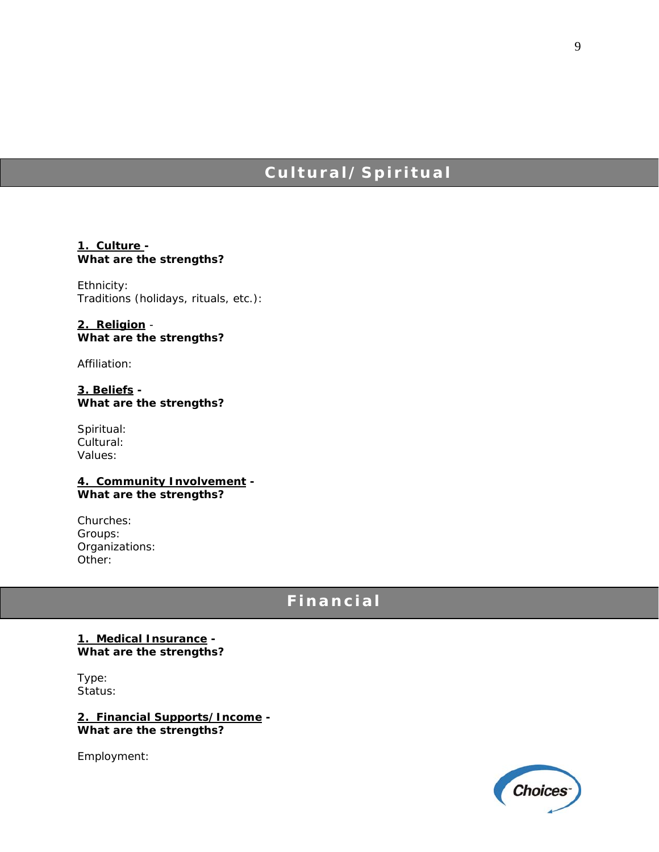## **Cultural/Spiritual**

### **1. Culture -**  *What are the strengths?*

Ethnicity: Traditions (holidays, rituals, etc.):

**2. Religion** - *What are the strengths?* 

Affiliation:

**3. Beliefs -**  *What are the strengths?* 

Spiritual: Cultural: Values:

**4. Community Involvement -**  *What are the strengths?* 

Churches: Groups: Organizations: Other:

### **Financial**

### **1. Medical Insurance -**  *What are the strengths?*

Type: Status:

**2. Financial Supports/Income -**  *What are the strengths?* 

Employment:

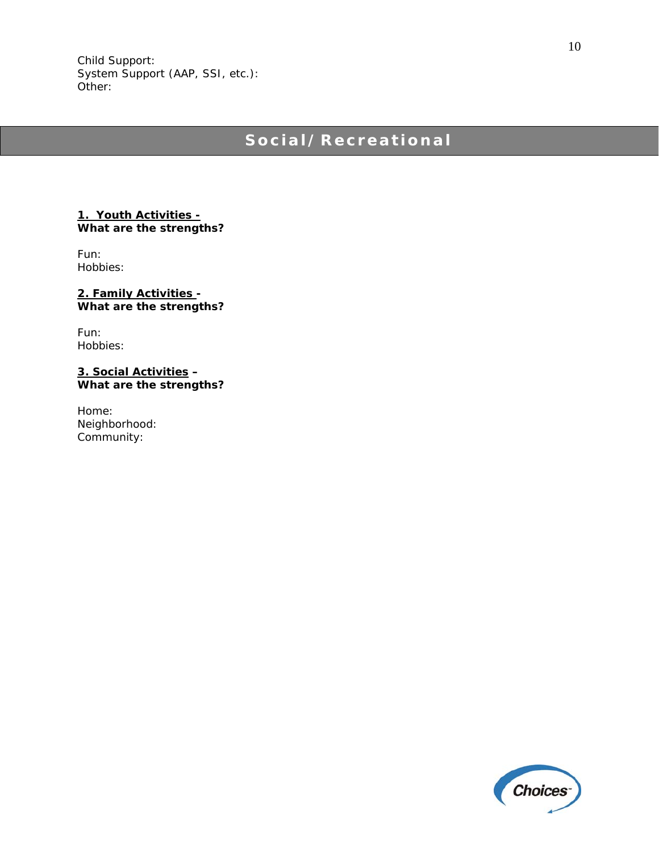## **Social/Recreational**

### **1. Youth Activities - What are the strengths?**

Fun: Hobbies:

**2. Family Activities -**  *What are the strengths?* 

Fun: Hobbies:

**3. Social Activities –**  *What are the strengths?* 

Home: Neighborhood: Community:



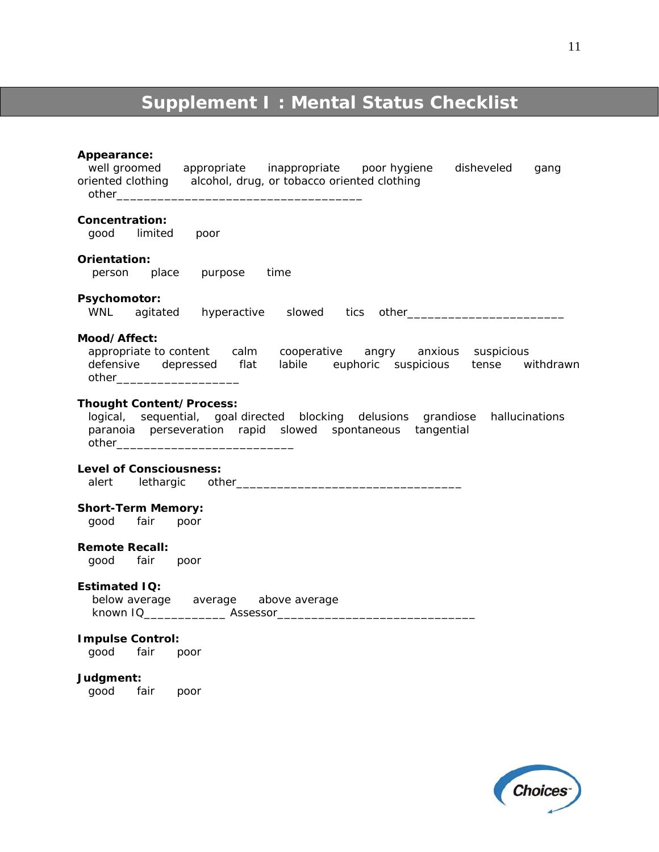# **Supplement I : Mental Status Checklist**

### **Appearance:**

| , , , , , , , , , , , , , , , , , ,<br>well groomed appropriate inappropriate poor hygiene<br>disheveled<br>gang<br>alcohol, drug, or tobacco oriented clothing<br>oriented clothing      |
|-------------------------------------------------------------------------------------------------------------------------------------------------------------------------------------------|
| Concentration:<br>good limited<br>poor                                                                                                                                                    |
| Orientation:<br>person place purpose time                                                                                                                                                 |
| Psychomotor:                                                                                                                                                                              |
| Mood/Affect:<br>appropriate to content calm cooperative angry anxious suspicious<br>defensive depressed flat labile euphoric suspicious tense withdrawn<br>other_________________________ |
| <b>Thought Content/Process:</b><br>logical, sequential, goal-directed blocking delusions grandiose hallucinations<br>paranoia perseveration rapid slowed spontaneous tangential           |
| <b>Level of Consciousness:</b><br>alert                                                                                                                                                   |
| <b>Short-Term Memory:</b><br>good fair poor                                                                                                                                               |
| <b>Remote Recall:</b><br>good fair poor                                                                                                                                                   |
| <b>Estimated IQ:</b><br>below average average above average                                                                                                                               |
| <b>Impulse Control:</b><br>good fair poor                                                                                                                                                 |
| Judgment:<br>good fair poor                                                                                                                                                               |